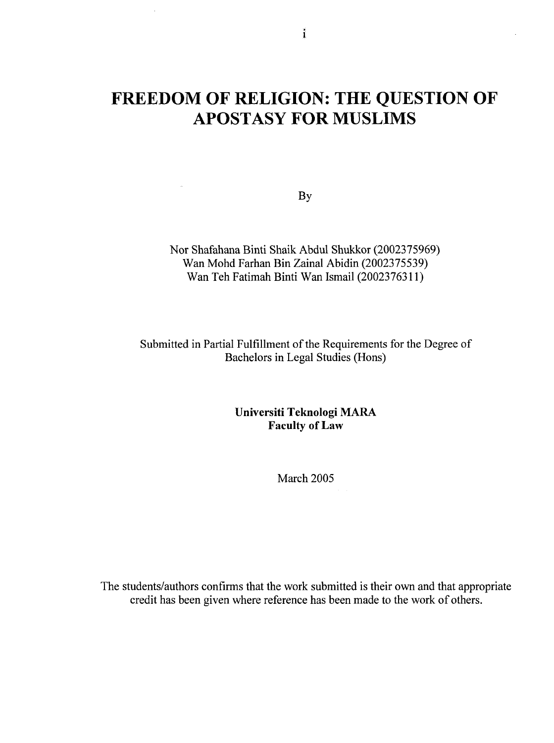# **FREEDOM OF RELIGION: THE QUESTION OF APOSTASY FOR MUSLIMS**

By

Nor Shafahana Binti Shaik Abdul Shukkor (2002375969) Wan Mohd Farhan Bin Zainal Abidin (2002375539) Wan Teh Fatimah Binti Wan Ismail (2002376311)

Submitted in Partial Fulfillment of the Requirements for the Degree of Bachelors in Legal Studies (Hons)

> **Universiti Teknologi MARA Faculty of Law**

> > March 2005

The students/authors confirms that the work submitted is their own and that appropriate credit has been given where reference has been made to the work of others.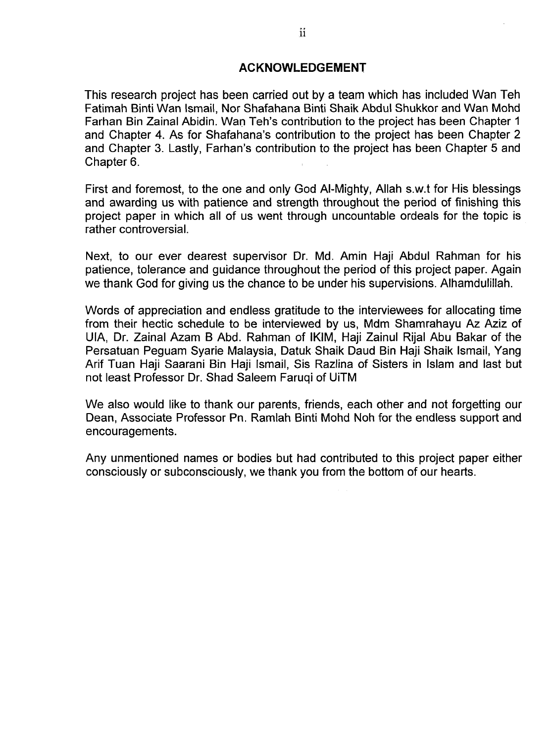#### **ACKNOWLEDGEMENT**

This research project has been carried out by a team which has included Wan Teh Fatimah Binti Wan Ismail, Nor Shafahana Binti Shaik Abdul Shukkor and Wan Mohd Farhan Bin Zainal Abidin. Wan Teh's contribution to the project has been Chapter 1 and Chapter 4. As for Shafahana's contribution to the project has been Chapter 2 and Chapter 3. Lastly, Farhan's contribution to the project has been Chapter 5 and Chapter 6.

First and foremost, to the one and only God Al-Mighty, Allah s.w.t for His blessings and awarding us with patience and strength throughout the period of finishing this project paper in which all of us went through uncountable ordeals for the topic is rather controversial.

Next, to our ever dearest supervisor Dr. Md. Amin Haji Abdul Rahman for his patience, tolerance and guidance throughout the period of this project paper. Again we thank God for giving us the chance to be under his supervisions. Alhamdulillah.

Words of appreciation and endless gratitude to the interviewees for allocating time from their hectic schedule to be interviewed by us, Mdm Shamrahayu Az Aziz of UIA, Dr. Zainal Azam B Abd. Rahman of IKIM, Haji Zainul Rijal Abu Bakar of the Persatuan Peguam Syarie Malaysia, Datuk Shaik Daud Bin Haji Shaik Ismail, Yang Arif Tuan Haji Saarani Bin Haji Ismail, Sis Razlina of Sisters in Islam and last but not least Professor Dr. Shad Saleem Faruqi of UiTM

We also would like to thank our parents, friends, each other and not forgetting our Dean, Associate Professor Pn. Ramlah Binti Mohd Noh for the endless support and encouragements.

Any unmentioned names or bodies but had contributed to this project paper either consciously or subconsciously, we thank you from the bottom of our hearts.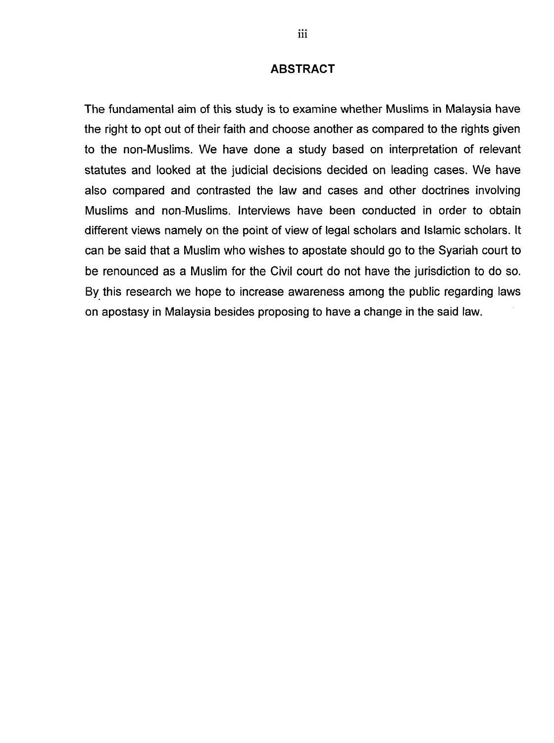#### **ABSTRACT**

The fundamental aim of this study is to examine whether Muslims in Malaysia have the right to opt out of their faith and choose another as compared to the rights given to the non-Muslims. We have done a study based on interpretation of relevant statutes and looked at the judicial decisions decided on leading cases. We have also compared and contrasted the law and cases and other doctrines involving Muslims and non-Muslims. Interviews have been conducted in order to obtain different views namely on the point of view of legal scholars and Islamic scholars. It can be said that a Muslim who wishes to apostate should go to the Syariah court to be renounced as a Muslim for the Civil court do not have the jurisdiction to do so. By this research we hope to increase awareness among the public regarding laws on apostasy in Malaysia besides proposing to have a change in the said law.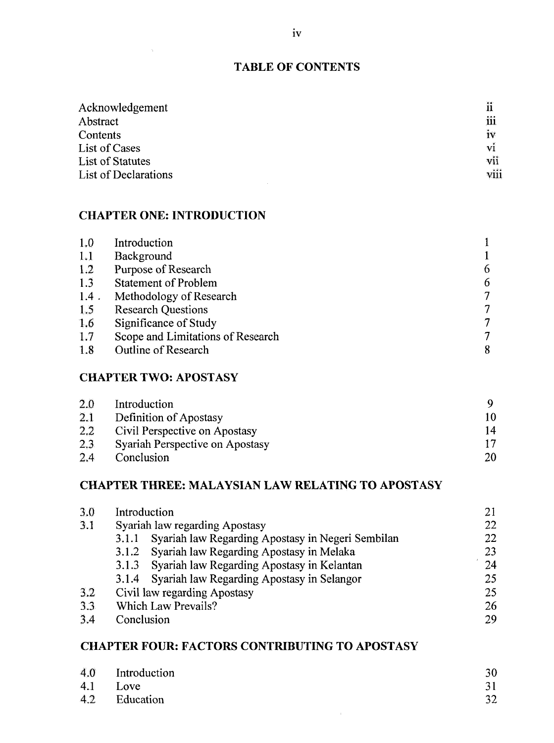#### **TABLE OF CONTENTS**

| Acknowledgement      | ñ    |
|----------------------|------|
| Abstract             | iii  |
| Contents             | iv   |
| List of Cases        | vi   |
| List of Statutes     | vii  |
| List of Declarations | viii |

## **CHAPTER ONE: INTRODUCTION**

| 1.0     | Introduction                      |   |
|---------|-----------------------------------|---|
| 1.1     | Background                        |   |
| 1.2     | Purpose of Research               | 6 |
| 1.3     | <b>Statement of Problem</b>       | 6 |
| $1.4$ . | Methodology of Research           | 7 |
| 1.5     | <b>Research Questions</b>         | 7 |
| 1.6     | Significance of Study             |   |
| 1.7     | Scope and Limitations of Research |   |
| 1.8     | <b>Outline of Research</b>        | 8 |

## **CHAPTER TWO: APOSTASY**

| 2.0 | Introduction                    |    |
|-----|---------------------------------|----|
| 2.1 | Definition of Apostasy          |    |
| 2.2 | Civil Perspective on Apostasy   | 14 |
| 2,3 | Syariah Perspective on Apostasy |    |
| 2.4 | Conclusion                      | 20 |

#### **CHAPTER THREE: MALAYSIAN LAW RELATING TO APOSTASY**

| 3.0 | Introduction                                               | 21 |
|-----|------------------------------------------------------------|----|
| 3.1 | Syariah law regarding Apostasy                             | 22 |
|     | Syariah law Regarding Apostasy in Negeri Sembilan<br>3.1.1 | 22 |
|     | 3.1.2 Syariah law Regarding Apostasy in Melaka             | 23 |
|     | 3.1.3 Syariah law Regarding Apostasy in Kelantan           | 24 |
|     | 3.1.4 Syariah law Regarding Apostasy in Selangor           | 25 |
| 3.2 | Civil law regarding Apostasy                               | 25 |
| 3.3 | <b>Which Law Prevails?</b>                                 | 26 |
| 3.4 | Conclusion                                                 | 29 |
|     |                                                            |    |

## **CHAPTER FOUR: FACTORS CONTRIBUTING TO APOSTASY**

| $4.0$ Introduction | 30 |
|--------------------|----|
| 4.1 Love           |    |
| 4.2 Education      | 32 |
|                    |    |